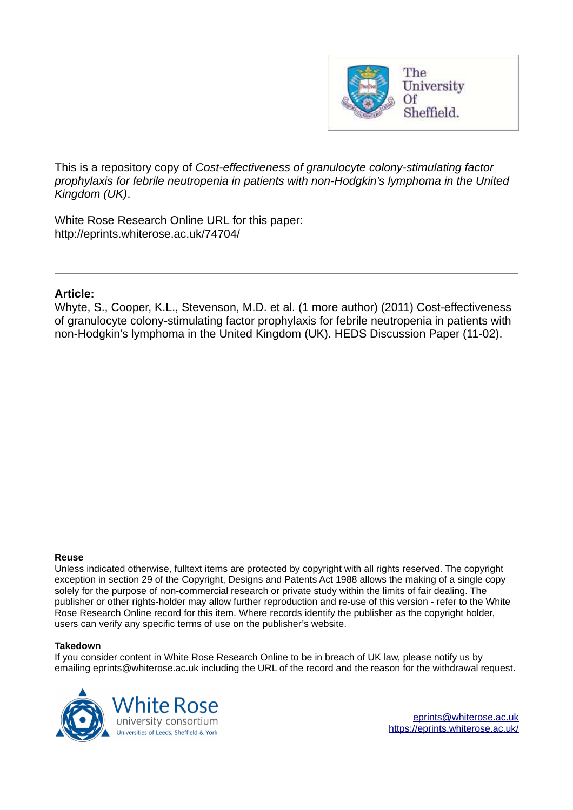

This is a repository copy of *Cost-effectiveness of granulocyte colony-stimulating factor prophylaxis for febrile neutropenia in patients with non-Hodgkin's lymphoma in the United Kingdom (UK)*.

White Rose Research Online URL for this paper: http://eprints.whiterose.ac.uk/74704/

### **Article:**

Whyte, S., Cooper, K.L., Stevenson, M.D. et al. (1 more author) (2011) Cost-effectiveness of granulocyte colony-stimulating factor prophylaxis for febrile neutropenia in patients with non-Hodgkin's lymphoma in the United Kingdom (UK). HEDS Discussion Paper (11-02).

#### **Reuse**

Unless indicated otherwise, fulltext items are protected by copyright with all rights reserved. The copyright exception in section 29 of the Copyright, Designs and Patents Act 1988 allows the making of a single copy solely for the purpose of non-commercial research or private study within the limits of fair dealing. The publisher or other rights-holder may allow further reproduction and re-use of this version - refer to the White Rose Research Online record for this item. Where records identify the publisher as the copyright holder, users can verify any specific terms of use on the publisher's website.

#### **Takedown**

If you consider content in White Rose Research Online to be in breach of UK law, please notify us by emailing eprints@whiterose.ac.uk including the URL of the record and the reason for the withdrawal request.



[eprints@whiterose.ac.uk](mailto:eprints@whiterose.ac.uk) <https://eprints.whiterose.ac.uk/>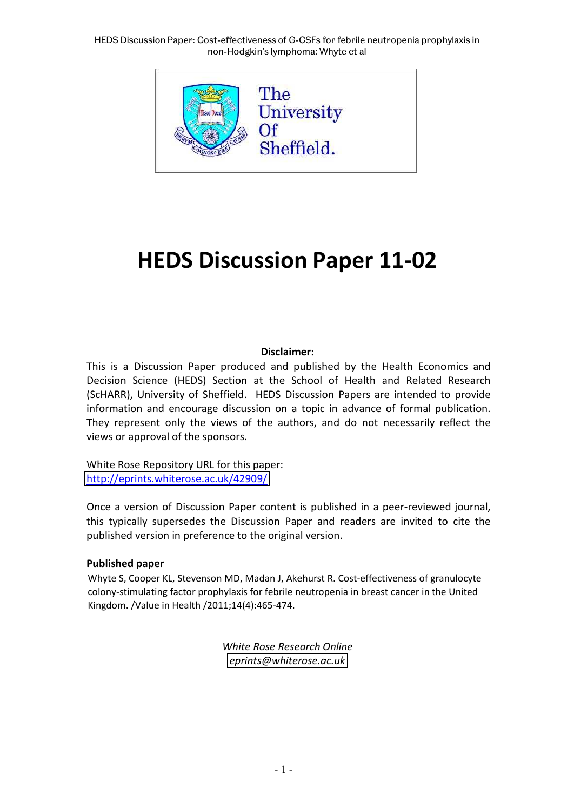HEDS Discussion Paper: Cost-effectiveness of G-CSFs for febrile neutropenia prophylaxis in non-Hodgkin's lymphoma: Whyte et al



# **HEDS Discussion Paper 11-02**

### **Disclaimer:**

This is a Discussion Paper produced and published by the Health Economics and Decision Science (HEDS) Section at the School of Health and Related Research (ScHARR), University of Sheffield. HEDS Discussion Papers are intended to provide information and encourage discussion on a topic in advance of formal publication. They represent only the views of the authors, and do not necessarily reflect the views or approval of the sponsors.

White Rose Repository URL for this paper: <http://eprints.whiterose.ac.uk/42909/>

Once a version of Discussion Paper content is published in a peer-reviewed journal, this typically supersedes the Discussion Paper and readers are invited to cite the published version in preference to the original version.

### **Published paper**

Whyte S, Cooper KL, Stevenson MD, Madan J, Akehurst R. Cost-effectiveness of granulocyte colony-stimulating factor prophylaxis for febrile neutropenia in breast cancer in the United Kingdom. /Value in Health /2011;14(4):465-474.

> *White Rose Research Online [eprints@whiterose.ac.uk](mailto:eprints@whiterose.ac.uk)*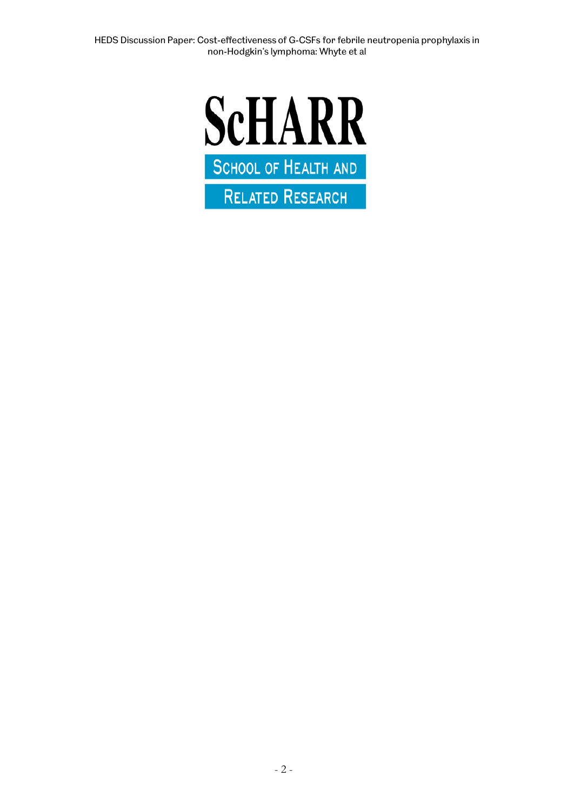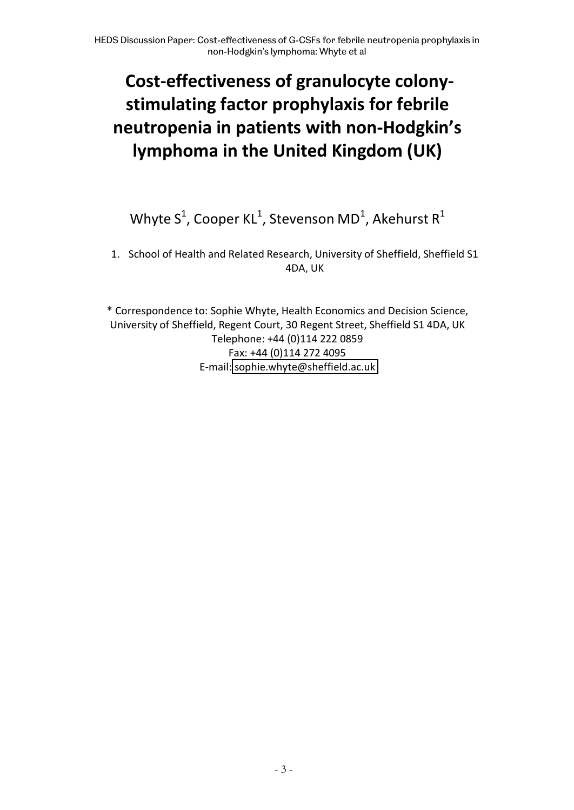## **Cost-effectiveness of granulocyte colonystimulating factor prophylaxis for febrile neutropenia in patients with non-Hodgkin's lymphoma in the United Kingdom (UK)**

## Whyte S<sup>1</sup>, Cooper KL<sup>1</sup>, Stevenson MD<sup>1</sup>, Akehurst R<sup>1</sup>

1. School of Health and Related Research, University of Sheffield, Sheffield S1 4DA, UK

\* Correspondence to: Sophie Whyte, Health Economics and Decision Science, University of Sheffield, Regent Court, 30 Regent Street, Sheffield S1 4DA, UK Telephone: +44 (0)114 222 0859 Fax: +44 (0)114 272 4095 E-mail: [sophie.whyte@sheffield.ac.uk](mailto:sophie.whyte@sheffield.ac.uk)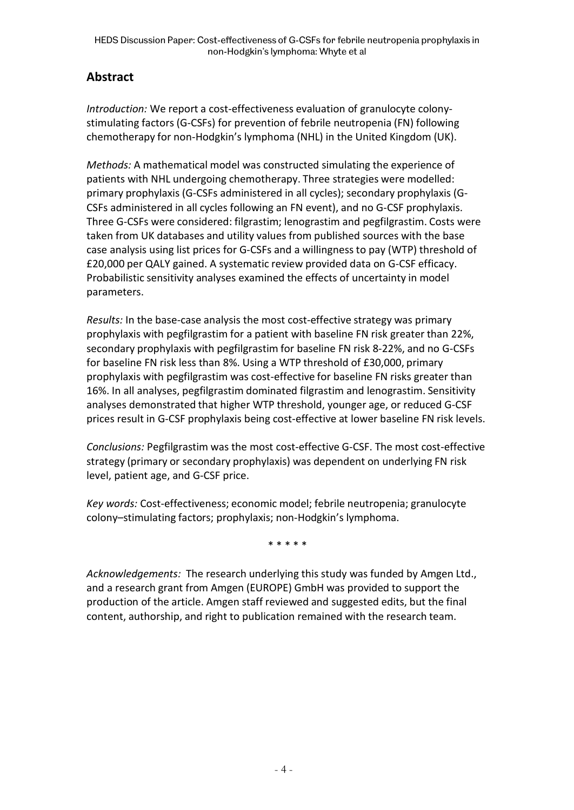## **Abstract**

*Introduction:* We report a cost-effectiveness evaluation of granulocyte colonystimulating factors (G-CSFs) for prevention of febrile neutropenia (FN) following chemotherapy for non-Hodgkin's lymphoma (NHL) in the United Kingdom (UK).

*Methods:* A mathematical model was constructed simulating the experience of patients with NHL undergoing chemotherapy. Three strategies were modelled: primary prophylaxis (G-CSFs administered in all cycles); secondary prophylaxis (G-CSFs administered in all cycles following an FN event), and no G-CSF prophylaxis. Three G-CSFs were considered: filgrastim; lenograstim and pegfilgrastim. Costs were taken from UK databases and utility values from published sources with the base case analysis using list prices for G-CSFs and a willingness to pay (WTP) threshold of £20,000 per QALY gained. A systematic review provided data on G-CSF efficacy. Probabilistic sensitivity analyses examined the effects of uncertainty in model parameters.

*Results:* In the base-case analysis the most cost-effective strategy was primary prophylaxis with pegfilgrastim for a patient with baseline FN risk greater than 22%, secondary prophylaxis with pegfilgrastim for baseline FN risk 8-22%, and no G-CSFs for baseline FN risk less than 8%. Using a WTP threshold of £30,000, primary prophylaxis with pegfilgrastim was cost-effective for baseline FN risks greater than 16%. In all analyses, pegfilgrastim dominated filgrastim and lenograstim. Sensitivity analyses demonstrated that higher WTP threshold, younger age, or reduced G-CSF prices result in G-CSF prophylaxis being cost-effective at lower baseline FN risk levels.

*Conclusions:* Pegfilgrastim was the most cost-effective G-CSF. The most cost-effective strategy (primary or secondary prophylaxis) was dependent on underlying FN risk level, patient age, and G-CSF price.

*Key words:* Cost-effectiveness; economic model; febrile neutropenia; granulocyte colony-stimulating factors; prophylaxis; non-Hodgkin's lymphoma.

\* \* \* \* \*

*Acknowledgements:* The research underlying this study was funded by Amgen Ltd., and a research grant from Amgen (EUROPE) GmbH was provided to support the production of the article. Amgen staff reviewed and suggested edits, but the final content, authorship, and right to publication remained with the research team.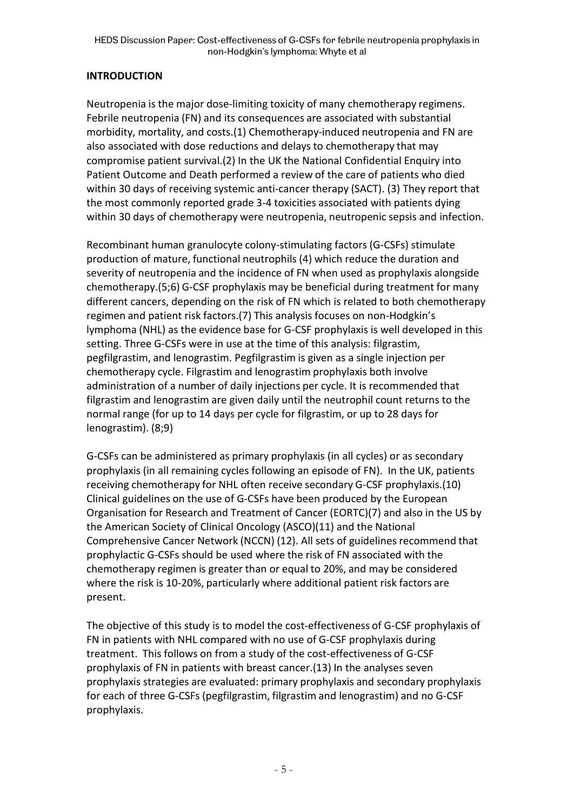## **INTRODUCTION**

Neutropenia is the major dose-limiting toxicity of many chemotherapy regimens. Febrile neutropenia (FN) and its consequences are associated with substantial morbidity, mortality, and costs.(1) Chemotherapy-induced neutropenia and FN are also associated with dose reductions and delays to chemotherapy that may compromise patient survival.(2) In the UK the National Confidential Enquiry into Patient Outcome and Death performed a review of the care of patients who died within 30 days of receiving systemic anti-cancer therapy (SACT). (3) They report that the most commonly reported grade 3-4 toxicities associated with patients dying within 30 days of chemotherapy were neutropenia, neutropenic sepsis and infection.

Recombinant human granulocyte colony-stimulating factors (G-CSFs) stimulate production of mature, functional neutrophils (4) which reduce the duration and severity of neutropenia and the incidence of FN when used as prophylaxis alongside chemotherapy.(5;6) G-CSF prophylaxis may be beneficial during treatment for many different cancers, depending on the risk of FN which is related to both chemotherapy regimen and patient risk factors.(7) This analysis focuses on non-Hodgkin's lymphoma (NHL) as the evidence base for G-CSF prophylaxis is well developed in this setting. Three G-CSFs were in use at the time of this analysis: filgrastim, pegfilgrastim, and lenograstim. Pegfilgrastim is given as a single injection per chemotherapy cycle. Filgrastim and lenograstim prophylaxis both involve administration of a number of daily injections per cycle. It is recommended that filgrastim and lenograstim are given daily until the neutrophil count returns to the normal range (for up to 14 days per cycle for filgrastim, or up to 28 days for lenograstim). (8;9)

G-CSFs can be administered as primary prophylaxis (in all cycles) or as secondary prophylaxis (in all remaining cycles following an episode of FN). In the UK, patients receiving chemotherapy for NHL often receive secondary G-CSF prophylaxis.(10) Clinical guidelines on the use of G-CSFs have been produced by the European Organisation for Research and Treatment of Cancer (EORTC)(7) and also in the US by the American Society of Clinical Oncology (ASCO)(11) and the National Comprehensive Cancer Network (NCCN) (12). All sets of guidelines recommend that prophylactic G-CSFs should be used where the risk of FN associated with the chemotherapy regimen is greater than or equal to 20%, and may be considered where the risk is 10-20%, particularly where additional patient risk factors are present.

The objective of this study is to model the cost-effectiveness of G-CSF prophylaxis of FN in patients with NHL compared with no use of G-CSF prophylaxis during treatment. This follows on from a study of the cost-effectiveness of G-CSF prophylaxis of FN in patients with breast cancer.(13) In the analyses seven prophylaxis strategies are evaluated: primary prophylaxis and secondary prophylaxis for each of three G-CSFs (pegfilgrastim, filgrastim and lenograstim) and no G-CSF prophylaxis.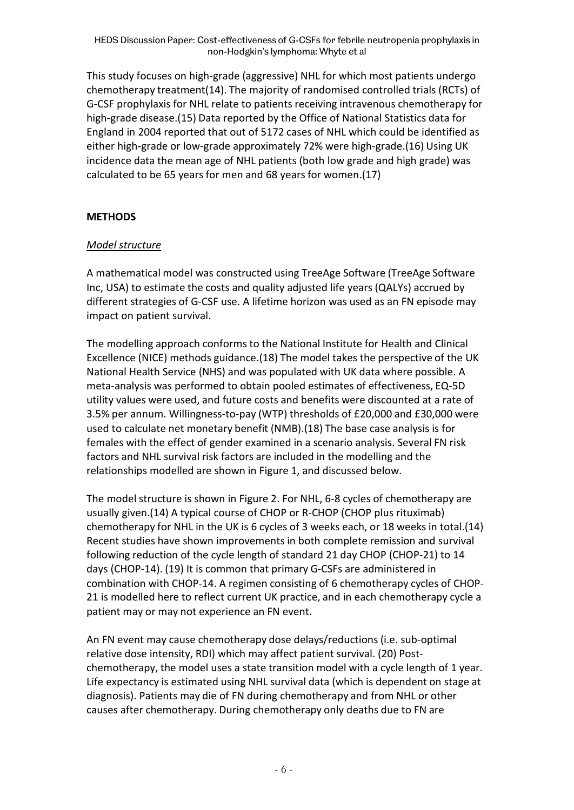This study focuses on high-grade (aggressive) NHL for which most patients undergo chemotherapy treatment(14). The majority of randomised controlled trials (RCTs) of G-CSF prophylaxis for NHL relate to patients receiving intravenous chemotherapy for high-grade disease.(15) Data reported by the Office of National Statistics data for England in 2004 reported that out of 5172 cases of NHL which could be identified as either high-grade or low-grade approximately 72% were high-grade.(16) Using UK incidence data the mean age of NHL patients (both low grade and high grade) was calculated to be 65 years for men and 68 years for women.(17)

## **METHODS**

## *Model structure*

A mathematical model was constructed using TreeAge Software (TreeAge Software Inc, USA) to estimate the costs and quality adjusted life years (QALYs) accrued by different strategies of G-CSF use. A lifetime horizon was used as an FN episode may impact on patient survival.

The modelling approach conforms to the National Institute for Health and Clinical Excellence (NICE) methods guidance.(18) The model takes the perspective of the UK National Health Service (NHS) and was populated with UK data where possible. A meta-analysis was performed to obtain pooled estimates of effectiveness, EQ-5D utility values were used, and future costs and benefits were discounted at a rate of 3.5% per annum. Willingness-to-pay (WTP) thresholds of £20,000 and £30,000 were used to calculate net monetary benefit (NMB).(18) The base case analysis is for females with the effect of gender examined in a scenario analysis. Several FN risk factors and NHL survival risk factors are included in the modelling and the relationships modelled are shown in Figure 1, and discussed below.

The model structure is shown in Figure 2. For NHL, 6-8 cycles of chemotherapy are usually given.(14) A typical course of CHOP or R-CHOP (CHOP plus rituximab) chemotherapy for NHL in the UK is 6 cycles of 3 weeks each, or 18 weeks in total.(14) Recent studies have shown improvements in both complete remission and survival following reduction of the cycle length of standard 21 day CHOP (CHOP-21) to 14 days (CHOP-14). (19) It is common that primary G-CSFs are administered in combination with CHOP-14. A regimen consisting of 6 chemotherapy cycles of CHOP-21 is modelled here to reflect current UK practice, and in each chemotherapy cycle a patient may or may not experience an FN event.

An FN event may cause chemotherapy dose delays/reductions (i.e. sub-optimal relative dose intensity, RDI) which may affect patient survival. (20) Postchemotherapy, the model uses a state transition model with a cycle length of 1 year. Life expectancy is estimated using NHL survival data (which is dependent on stage at diagnosis). Patients may die of FN during chemotherapy and from NHL or other causes after chemotherapy. During chemotherapy only deaths due to FN are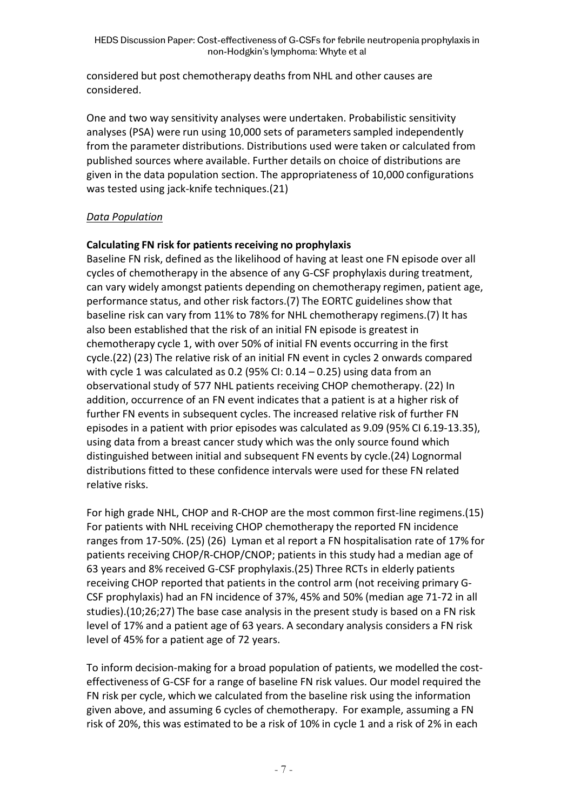considered but post chemotherapy deaths from NHL and other causes are considered.

One and two way sensitivity analyses were undertaken. Probabilistic sensitivity analyses (PSA) were run using 10,000 sets of parameters sampled independently from the parameter distributions. Distributions used were taken or calculated from published sources where available. Further details on choice of distributions are given in the data population section. The appropriateness of 10,000 configurations was tested using jack-knife techniques.(21)

## *Data Population*

## **Calculating FN risk for patients receiving no prophylaxis**

Baseline FN risk, defined as the likelihood of having at least one FN episode over all cycles of chemotherapy in the absence of any G-CSF prophylaxis during treatment, can vary widely amongst patients depending on chemotherapy regimen, patient age, performance status, and other risk factors.(7) The EORTC guidelines show that baseline risk can vary from 11% to 78% for NHL chemotherapy regimens.(7) It has also been established that the risk of an initial FN episode is greatest in chemotherapy cycle 1, with over 50% of initial FN events occurring in the first cycle.(22) (23) The relative risk of an initial FN event in cycles 2 onwards compared with cycle 1 was calculated as 0.2 (95% CI:  $0.14 - 0.25$ ) using data from an observational study of 577 NHL patients receiving CHOP chemotherapy. (22) In addition, occurrence of an FN event indicates that a patient is at a higher risk of further FN events in subsequent cycles. The increased relative risk of further FN episodes in a patient with prior episodes was calculated as 9.09 (95% CI 6.19-13.35), using data from a breast cancer study which was the only source found which distinguished between initial and subsequent FN events by cycle.(24) Lognormal distributions fitted to these confidence intervals were used for these FN related relative risks.

For high grade NHL, CHOP and R-CHOP are the most common first-line regimens.(15) For patients with NHL receiving CHOP chemotherapy the reported FN incidence ranges from 17-50%. (25) (26) Lyman et al report a FN hospitalisation rate of 17% for patients receiving CHOP/R-CHOP/CNOP; patients in this study had a median age of 63 years and 8% received G-CSF prophylaxis.(25) Three RCTs in elderly patients receiving CHOP reported that patients in the control arm (not receiving primary G-CSF prophylaxis) had an FN incidence of 37%, 45% and 50% (median age 71-72 in all studies).(10;26;27) The base case analysis in the present study is based on a FN risk level of 17% and a patient age of 63 years. A secondary analysis considers a FN risk level of 45% for a patient age of 72 years.

To inform decision-making for a broad population of patients, we modelled the costeffectiveness of G-CSF for a range of baseline FN risk values. Our model required the FN risk per cycle, which we calculated from the baseline risk using the information given above, and assuming 6 cycles of chemotherapy. For example, assuming a FN risk of 20%, this was estimated to be a risk of 10% in cycle 1 and a risk of 2% in each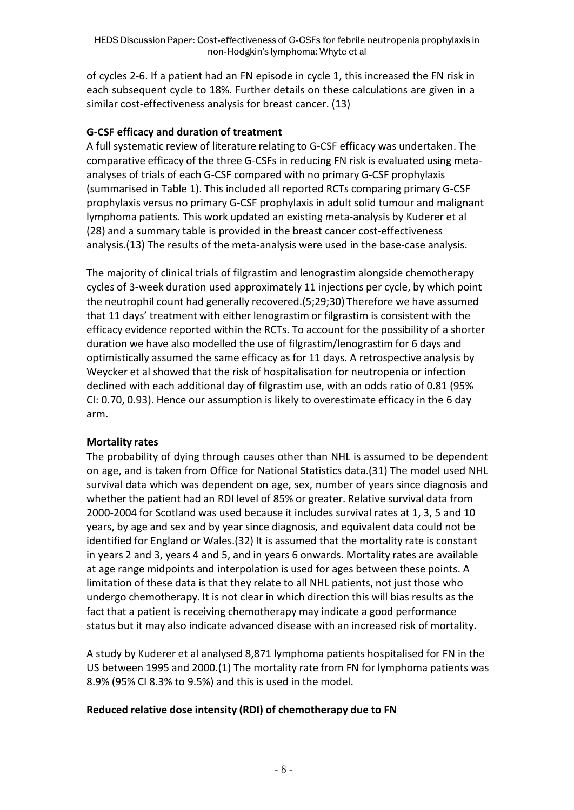of cycles 2-6. If a patient had an FN episode in cycle 1, this increased the FN risk in each subsequent cycle to 18%. Further details on these calculations are given in a similar cost-effectiveness analysis for breast cancer. (13)

## **G-CSF efficacy and duration of treatment**

A full systematic review of literature relating to G-CSF efficacy was undertaken. The comparative efficacy of the three G-CSFs in reducing FN risk is evaluated using metaanalyses of trials of each G-CSF compared with no primary G-CSF prophylaxis (summarised in Table 1). This included all reported RCTs comparing primary G-CSF prophylaxis versus no primary G-CSF prophylaxis in adult solid tumour and malignant lymphoma patients. This work updated an existing meta-analysis by Kuderer et al (28) and a summary table is provided in the breast cancer cost-effectiveness analysis.(13) The results of the meta-analysis were used in the base-case analysis.

The majority of clinical trials of filgrastim and lenograstim alongside chemotherapy cycles of 3-week duration used approximately 11 injections per cycle, by which point the neutrophil count had generally recovered.(5;29;30) Therefore we have assumed that 11 days' treatment with either lenograstim or filgrastim is consistent with the efficacy evidence reported within the RCTs. To account for the possibility of a shorter duration we have also modelled the use of filgrastim/lenograstim for 6 days and optimistically assumed the same efficacy as for 11 days. A retrospective analysis by Weycker et al showed that the risk of hospitalisation for neutropenia or infection declined with each additional day of filgrastim use, with an odds ratio of 0.81 (95% CI: 0.70, 0.93). Hence our assumption is likely to overestimate efficacy in the 6 day arm.

## **Mortality rates**

The probability of dying through causes other than NHL is assumed to be dependent on age, and is taken from Office for National Statistics data.(31) The model used NHL survival data which was dependent on age, sex, number of years since diagnosis and whether the patient had an RDI level of 85% or greater. Relative survival data from 2000-2004 for Scotland was used because it includes survival rates at 1, 3, 5 and 10 years, by age and sex and by year since diagnosis, and equivalent data could not be identified for England or Wales.(32) It is assumed that the mortality rate is constant in years 2 and 3, years 4 and 5, and in years 6 onwards. Mortality rates are available at age range midpoints and interpolation is used for ages between these points. A limitation of these data is that they relate to all NHL patients, not just those who undergo chemotherapy. It is not clear in which direction this will bias results as the fact that a patient is receiving chemotherapy may indicate a good performance status but it may also indicate advanced disease with an increased risk of mortality.

A study by Kuderer et al analysed 8,871 lymphoma patients hospitalised for FN in the US between 1995 and 2000.(1) The mortality rate from FN for lymphoma patients was 8.9% (95% CI 8.3% to 9.5%) and this is used in the model.

## **Reduced relative dose intensity (RDI) of chemotherapy due to FN**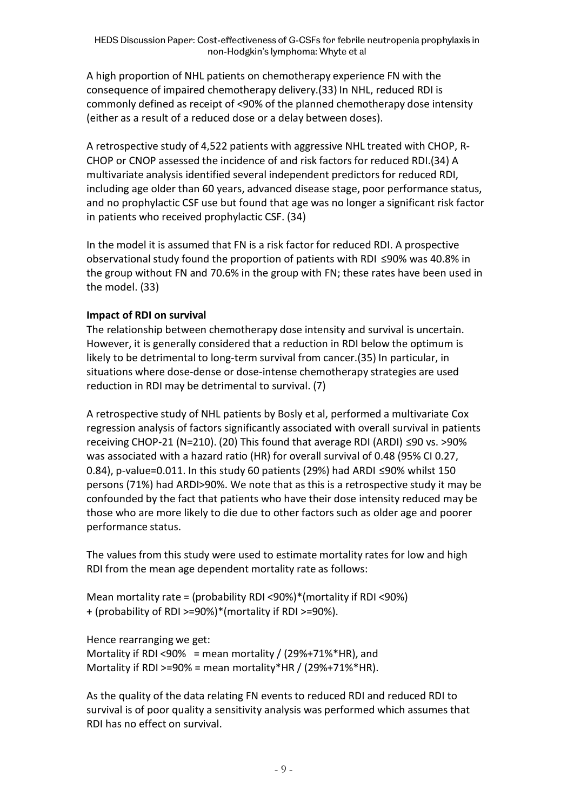A high proportion of NHL patients on chemotherapy experience FN with the consequence of impaired chemotherapy delivery.(33) In NHL, reduced RDI is commonly defined as receipt of <90% of the planned chemotherapy dose intensity (either as a result of a reduced dose or a delay between doses).

A retrospective study of 4,522 patients with aggressive NHL treated with CHOP, R-CHOP or CNOP assessed the incidence of and risk factors for reduced RDI.(34) A multivariate analysis identified several independent predictors for reduced RDI, including age older than 60 years, advanced disease stage, poor performance status, and no prophylactic CSF use but found that age was no longer a significant risk factor in patients who received prophylactic CSF. (34)

In the model it is assumed that FN is a risk factor for reduced RDI. A prospective observational study found the proportion of patients with RDI  $\leq$ 90% was 40.8% in the group without FN and 70.6% in the group with FN; these rates have been used in the model. (33)

## **Impact of RDI on survival**

The relationship between chemotherapy dose intensity and survival is uncertain. However, it is generally considered that a reduction in RDI below the optimum is likely to be detrimental to long-term survival from cancer.(35) In particular, in situations where dose-dense or dose-intense chemotherapy strategies are used reduction in RDI may be detrimental to survival. (7)

A retrospective study of NHL patients by Bosly et al, performed a multivariate Cox regression analysis of factors significantly associated with overall survival in patients receiving CHOP-21 (N=210). (20) This found that average RDI (ARDI)  $\leq 90$  vs. >90% was associated with a hazard ratio (HR) for overall survival of 0.48 (95% CI 0.27, 0.84), p-value=0.011. In this study 60 patients (29%) had ARDI  $\leq$ 90% whilst 150 persons (71%) had ARDI>90%. We note that as this is a retrospective study it may be confounded by the fact that patients who have their dose intensity reduced may be those who are more likely to die due to other factors such as older age and poorer performance status.

The values from this study were used to estimate mortality rates for low and high RDI from the mean age dependent mortality rate as follows:

Mean mortality rate = (probability RDI <90%)\*(mortality if RDI <90%) + (probability of RDI >=90%)\*(mortality if RDI >=90%).

Hence rearranging we get: Mortality if RDI <90% = mean mortality /  $(29%+71%*HR)$ , and Mortality if RDI >=90% = mean mortality\*HR /  $(29%+71%*HR)$ .

As the quality of the data relating FN events to reduced RDI and reduced RDI to survival is of poor quality a sensitivity analysis was performed which assumes that RDI has no effect on survival.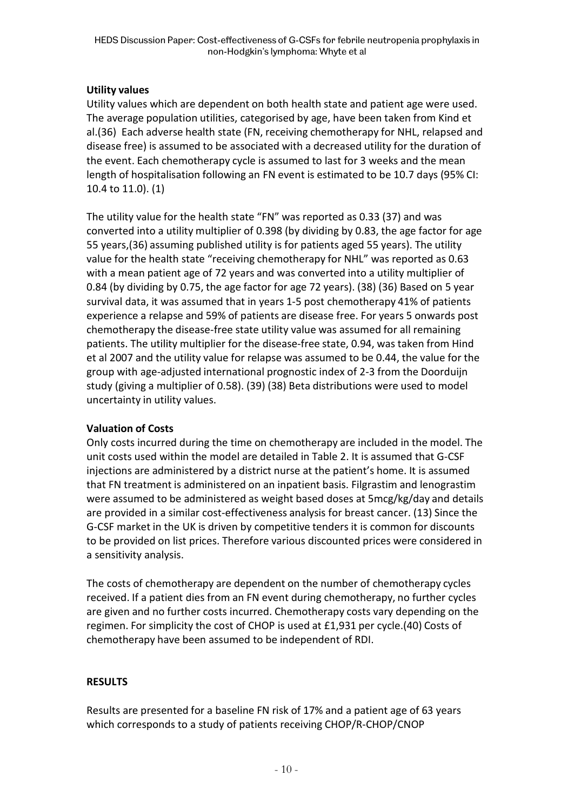## **Utility values**

Utility values which are dependent on both health state and patient age were used. The average population utilities, categorised by age, have been taken from Kind et al.(36) Each adverse health state (FN, receiving chemotherapy for NHL, relapsed and disease free) is assumed to be associated with a decreased utility for the duration of the event. Each chemotherapy cycle is assumed to last for 3 weeks and the mean length of hospitalisation following an FN event is estimated to be 10.7 days (95% CI: 10.4 to 11.0). (1)

The utility value for the health state "FN" was reported as 0.33 (37) and was converted into a utility multiplier of 0.398 (by dividing by 0.83, the age factor for age 55 years,(36) assuming published utility is for patients aged 55 years). The utility value for the health state "receiving chemotherapy for NHL" was reported as 0.63 with a mean patient age of 72 years and was converted into a utility multiplier of 0.84 (by dividing by 0.75, the age factor for age 72 years). (38) (36) Based on 5 year survival data, it was assumed that in years 1-5 post chemotherapy 41% of patients experience a relapse and 59% of patients are disease free. For years 5 onwards post chemotherapy the disease-free state utility value was assumed for all remaining patients. The utility multiplier for the disease-free state, 0.94, was taken from Hind et al 2007 and the utility value for relapse was assumed to be 0.44, the value for the group with age-adjusted international prognostic index of 2-3 from the Doorduijn study (giving a multiplier of 0.58). (39) (38) Beta distributions were used to model uncertainty in utility values.

## **Valuation of Costs**

Only costs incurred during the time on chemotherapy are included in the model. The unit costs used within the model are detailed in Table 2. It is assumed that G-CSF injections are administered by a district nurse at the patient's home. It is assumed that FN treatment is administered on an inpatient basis. Filgrastim and lenograstim were assumed to be administered as weight based doses at 5mcg/kg/day and details are provided in a similar cost-effectiveness analysis for breast cancer. (13) Since the G-CSF market in the UK is driven by competitive tenders it is common for discounts to be provided on list prices. Therefore various discounted prices were considered in a sensitivity analysis.

The costs of chemotherapy are dependent on the number of chemotherapy cycles received. If a patient dies from an FN event during chemotherapy, no further cycles are given and no further costs incurred. Chemotherapy costs vary depending on the regimen. For simplicity the cost of CHOP is used at £1,931 per cycle.(40) Costs of chemotherapy have been assumed to be independent of RDI.

## **RESULTS**

Results are presented for a baseline FN risk of 17% and a patient age of 63 years which corresponds to a study of patients receiving CHOP/R-CHOP/CNOP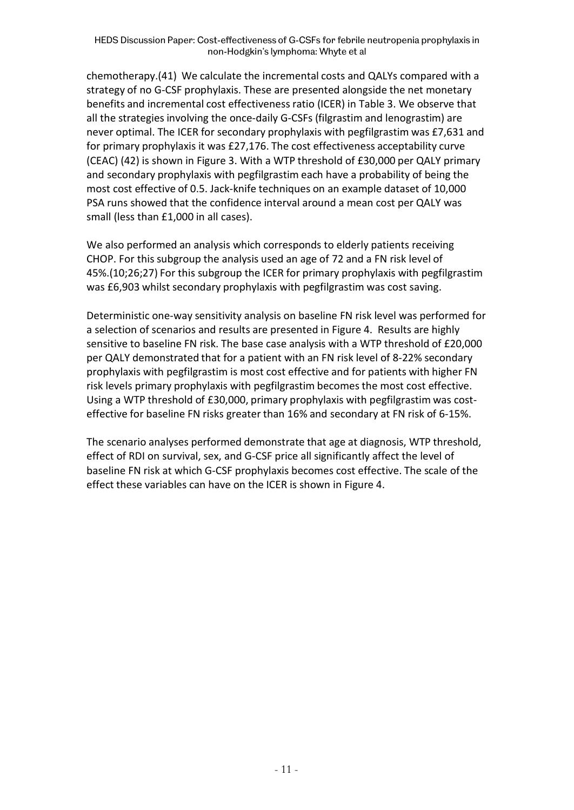chemotherapy.(41) We calculate the incremental costs and QALYs compared with a strategy of no G-CSF prophylaxis. These are presented alongside the net monetary benefits and incremental cost effectiveness ratio (ICER) in Table 3. We observe that all the strategies involving the once-daily G-CSFs (filgrastim and lenograstim) are never optimal. The ICER for secondary prophylaxis with pegfilgrastim was £7,631 and for primary prophylaxis it was £27,176. The cost effectiveness acceptability curve (CEAC) (42) is shown in Figure 3. With a WTP threshold of £30,000 per QALY primary and secondary prophylaxis with pegfilgrastim each have a probability of being the most cost effective of 0.5. Jack-knife techniques on an example dataset of 10,000 PSA runs showed that the confidence interval around a mean cost per QALY was small (less than £1,000 in all cases).

We also performed an analysis which corresponds to elderly patients receiving CHOP. For this subgroup the analysis used an age of 72 and a FN risk level of 45%.(10;26;27) For this subgroup the ICER for primary prophylaxis with pegfilgrastim was £6,903 whilst secondary prophylaxis with pegfilgrastim was cost saving.

Deterministic one-way sensitivity analysis on baseline FN risk level was performed for a selection of scenarios and results are presented in Figure 4. Results are highly sensitive to baseline FN risk. The base case analysis with a WTP threshold of £20,000 per QALY demonstrated that for a patient with an FN risk level of 8-22% secondary prophylaxis with pegfilgrastim is most cost effective and for patients with higher FN risk levels primary prophylaxis with pegfilgrastim becomes the most cost effective. Using a WTP threshold of £30,000, primary prophylaxis with pegfilgrastim was costeffective for baseline FN risks greater than 16% and secondary at FN risk of 6-15%.

The scenario analyses performed demonstrate that age at diagnosis, WTP threshold, effect of RDI on survival, sex, and G-CSF price all significantly affect the level of baseline FN risk at which G-CSF prophylaxis becomes cost effective. The scale of the effect these variables can have on the ICER is shown in Figure 4.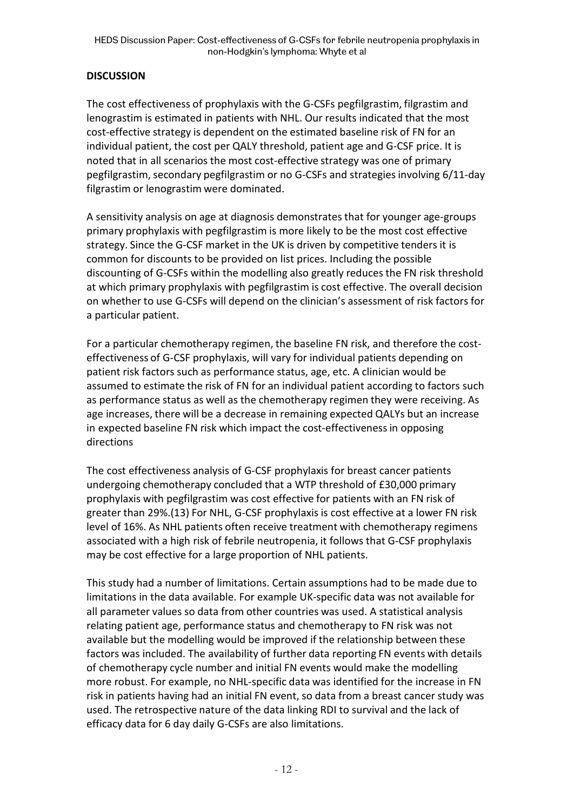## **DISCUSSION**

The cost effectiveness of prophylaxis with the G-CSFs pegfilgrastim, filgrastim and lenograstim is estimated in patients with NHL. Our results indicated that the most cost-effective strategy is dependent on the estimated baseline risk of FN for an individual patient, the cost per QALY threshold, patient age and G-CSF price. It is noted that in all scenarios the most cost-effective strategy was one of primary pegfilgrastim, secondary pegfilgrastim or no G-CSFs and strategies involving 6/11-day filgrastim or lenograstim were dominated.

A sensitivity analysis on age at diagnosis demonstrates that for younger age-groups primary prophylaxis with pegfilgrastim is more likely to be the most cost effective strategy. Since the G-CSF market in the UK is driven by competitive tenders it is common for discounts to be provided on list prices. Including the possible discounting of G-CSFs within the modelling also greatly reduces the FN risk threshold at which primary prophylaxis with pegfilgrastim is cost effective. The overall decision on whether to use G-CSFs will depend on the clinician's assessment of risk factors for a particular patient.

For a particular chemotherapy regimen, the baseline FN risk, and therefore the costeffectiveness of G-CSF prophylaxis, will vary for individual patients depending on patient risk factors such as performance status, age, etc. A clinician would be assumed to estimate the risk of FN for an individual patient according to factors such as performance status as well as the chemotherapy regimen they were receiving. As age increases, there will be a decrease in remaining expected QALYs but an increase in expected baseline FN risk which impact the cost-effectiveness in opposing directions

The cost effectiveness analysis of G-CSF prophylaxis for breast cancer patients undergoing chemotherapy concluded that a WTP threshold of £30,000 primary prophylaxis with pegfilgrastim was cost effective for patients with an FN risk of greater than 29%.(13) For NHL, G-CSF prophylaxis is cost effective at a lower FN risk level of 16%. As NHL patients often receive treatment with chemotherapy regimens associated with a high risk of febrile neutropenia, it follows that G-CSF prophylaxis may be cost effective for a large proportion of NHL patients.

This study had a number of limitations. Certain assumptions had to be made due to limitations in the data available. For example UK-specific data was not available for all parameter values so data from other countries was used. A statistical analysis relating patient age, performance status and chemotherapy to FN risk was not available but the modelling would be improved if the relationship between these factors was included. The availability of further data reporting FN events with details of chemotherapy cycle number and initial FN events would make the modelling more robust. For example, no NHL-specific data was identified for the increase in FN risk in patients having had an initial FN event, so data from a breast cancer study was used. The retrospective nature of the data linking RDI to survival and the lack of efficacy data for 6 day daily G-CSFs are also limitations.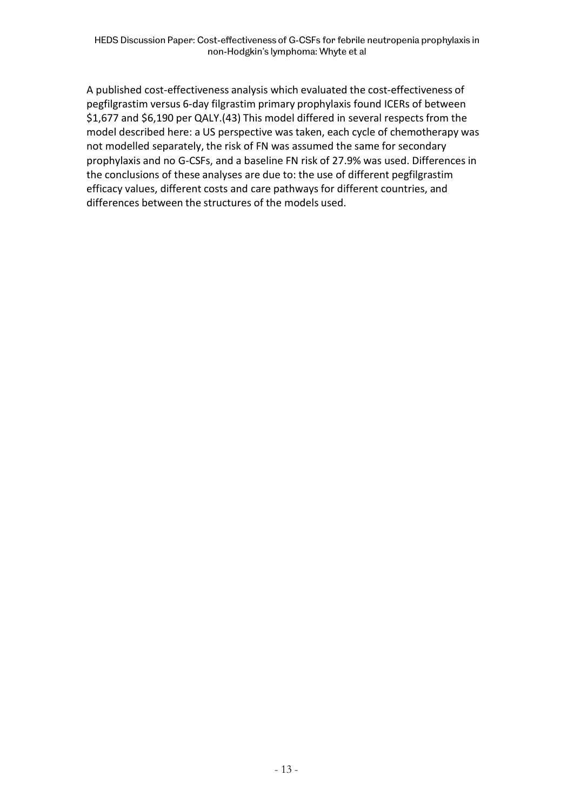A published cost-effectiveness analysis which evaluated the cost-effectiveness of pegfilgrastim versus 6-day filgrastim primary prophylaxis found ICERs of between \$1,677 and \$6,190 per QALY.(43) This model differed in several respects from the model described here: a US perspective was taken, each cycle of chemotherapy was not modelled separately, the risk of FN was assumed the same for secondary prophylaxis and no G-CSFs, and a baseline FN risk of 27.9% was used. Differences in the conclusions of these analyses are due to: the use of different pegfilgrastim efficacy values, different costs and care pathways for different countries, and differences between the structures of the models used.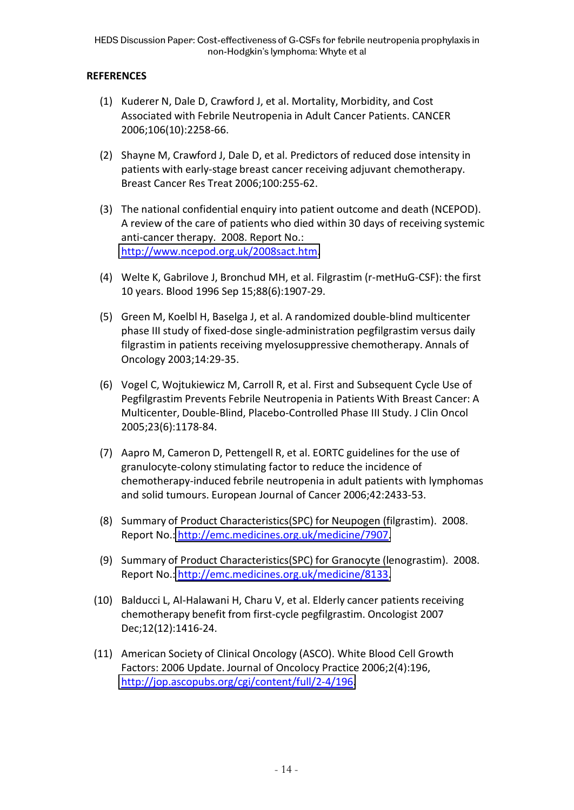## **REFERENCES**

- (1) Kuderer N, Dale D, Crawford J, et al. Mortality, Morbidity, and Cost Associated with Febrile Neutropenia in Adult Cancer Patients. CANCER 2006;106(10):2258-66.
- (2) Shayne M, Crawford J, Dale D, et al. Predictors of reduced dose intensity in patients with early-stage breast cancer receiving adjuvant chemotherapy. Breast Cancer Res Treat 2006;100:255-62.
- (3) The national confidential enquiry into patient outcome and death (NCEPOD). A review of the care of patients who died within 30 days of receiving systemic anti-cancer therapy. 2008. Report No.: [http://www.ncepod.org.uk/2008sact.htm.](http://www.ncepod.org.uk/2008sact.htm)
- (4) Welte K, Gabrilove J, Bronchud MH, et al. Filgrastim (r-metHuG-CSF): the first 10 years. Blood 1996 Sep 15;88(6):1907-29.
- (5) Green M, Koelbl H, Baselga J, et al. A randomized double-blind multicenter phase III study of fixed-dose single-administration pegfilgrastim versus daily filgrastim in patients receiving myelosuppressive chemotherapy. Annals of Oncology 2003;14:29-35.
- (6) Vogel C, Wojtukiewicz M, Carroll R, et al. First and Subsequent Cycle Use of Pegfilgrastim Prevents Febrile Neutropenia in Patients With Breast Cancer: A Multicenter, Double-Blind, Placebo-Controlled Phase III Study. J Clin Oncol 2005;23(6):1178-84.
- (7) Aapro M, Cameron D, Pettengell R, et al. EORTC guidelines for the use of granulocyte-colony stimulating factor to reduce the incidence of chemotherapy-induced febrile neutropenia in adult patients with lymphomas and solid tumours. European Journal of Cancer 2006;42:2433-53.
- (8) Summary of Product Characteristics(SPC) for Neupogen (filgrastim). 2008. Report No.: [http://emc.medicines.org.uk/medicine/7907.](http://emc.medicines.org.uk/medicine/7907)
- (9) Summary of Product Characteristics(SPC) for Granocyte (lenograstim). 2008. Report No.: [http://emc.medicines.org.uk/medicine/8133.](http://emc.medicines.org.uk/medicine/8133)
- (10) Balducci L, Al-Halawani H, Charu V, et al. Elderly cancer patients receiving chemotherapy benefit from first-cycle pegfilgrastim. Oncologist 2007 Dec;12(12):1416-24.
- (11) American Society of Clinical Oncology (ASCO). White Blood Cell Growth Factors: 2006 Update. Journal of Oncolocy Practice 2006;2(4):196, [http://jop.ascopubs.org/cgi/content/full/2-4/196.](http://jop.ascopubs.org/cgi/content/full/2-4/196)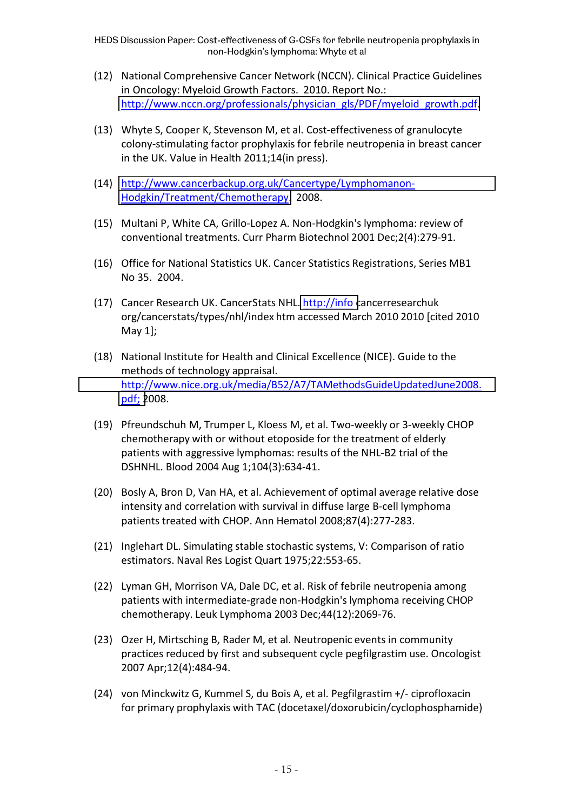HEDS Discussion Paper: Cost-effectiveness of G-CSFs for febrile neutropenia prophylaxis in non-Hodgkin's lymphoma: Whyte et al

- (12) National Comprehensive Cancer Network (NCCN). Clinical Practice Guidelines in Oncology: Myeloid Growth Factors. 2010. Report No.: [http://www.nccn.org/professionals/physician\\_gls/PDF/myeloid\\_growth.pdf.](http://www.nccn.org/professionals/physician_gls/PDF/myeloid_growth.pdf)
- (13) Whyte S, Cooper K, Stevenson M, et al. Cost-effectiveness of granulocyte colony-stimulating factor prophylaxis for febrile neutropenia in breast cancer in the UK. Value in Health 2011;14(in press).
- (14) [http://www.cancerbackup.org.uk/Cancertype/Lymphomanon-](http://www.cancerbackup.org.uk/Cancertype/Lymphomanon-Hodgkin/Treatment/Chemotherapy)[Hodgkin/Treatment/Chemotherapy.](http://www.cancerbackup.org.uk/Cancertype/Lymphomanon-Hodgkin/Treatment/Chemotherapy) 2008.
- (15) Multani P, White CA, Grillo-Lopez A. Non-Hodgkin's lymphoma: review of conventional treatments. Curr Pharm Biotechnol 2001 Dec;2(4):279-91.
- (16) Office for National Statistics UK. Cancer Statistics Registrations, Series MB1 No 35. 2004.
- (17) Cancer Research UK. CancerStats NHL[. http://info](http://info/) cancerresearchuk org/cancerstats/types/nhl/index htm accessed March 2010 2010 [cited 2010 May 1];
- (18) National Institute for Health and Clinical Excellence (NICE). Guide to the methods of technology appraisal. [http://www.nice.org.uk/media/B52/A7/TAMethodsGuideUpdatedJune2008.](http://www.nice.org.uk/media/B52/A7/TAMethodsGuideUpdatedJune2008.pdf%3B) [pdf;](http://www.nice.org.uk/media/B52/A7/TAMethodsGuideUpdatedJune2008.pdf%3B) 2008.
- (19) Pfreundschuh M, Trumper L, Kloess M, et al. Two-weekly or 3-weekly CHOP chemotherapy with or without etoposide for the treatment of elderly patients with aggressive lymphomas: results of the NHL-B2 trial of the DSHNHL. Blood 2004 Aug 1;104(3):634-41.
- (20) Bosly A, Bron D, Van HA, et al. Achievement of optimal average relative dose intensity and correlation with survival in diffuse large B-cell lymphoma patients treated with CHOP. Ann Hematol 2008;87(4):277-283.
- (21) Inglehart DL. Simulating stable stochastic systems, V: Comparison of ratio estimators. Naval Res Logist Quart 1975;22:553-65.
- (22) Lyman GH, Morrison VA, Dale DC, et al. Risk of febrile neutropenia among patients with intermediate-grade non-Hodgkin's lymphoma receiving CHOP chemotherapy. Leuk Lymphoma 2003 Dec;44(12):2069-76.
- (23) Ozer H, Mirtsching B, Rader M, et al. Neutropenic events in community practices reduced by first and subsequent cycle pegfilgrastim use. Oncologist 2007 Apr;12(4):484-94.
- (24) von Minckwitz G, Kummel S, du Bois A, et al. Pegfilgrastim +/- ciprofloxacin for primary prophylaxis with TAC (docetaxel/doxorubicin/cyclophosphamide)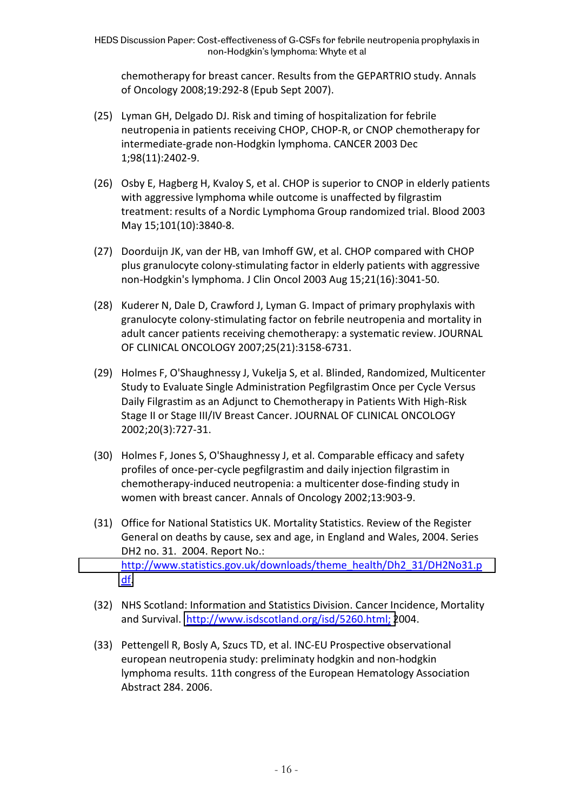chemotherapy for breast cancer. Results from the GEPARTRIO study. Annals of Oncology 2008;19:292-8 (Epub Sept 2007).

- (25) Lyman GH, Delgado DJ. Risk and timing of hospitalization for febrile neutropenia in patients receiving CHOP, CHOP-R, or CNOP chemotherapy for intermediate-grade non-Hodgkin lymphoma. CANCER 2003 Dec 1;98(11):2402-9.
- (26) Osby E, Hagberg H, Kvaloy S, et al. CHOP is superior to CNOP in elderly patients with aggressive lymphoma while outcome is unaffected by filgrastim treatment: results of a Nordic Lymphoma Group randomized trial. Blood 2003 May 15;101(10):3840-8.
- (27) Doorduijn JK, van der HB, van Imhoff GW, et al. CHOP compared with CHOP plus granulocyte colony-stimulating factor in elderly patients with aggressive non-Hodgkin's lymphoma. J Clin Oncol 2003 Aug 15;21(16):3041-50.
- (28) Kuderer N, Dale D, Crawford J, Lyman G. Impact of primary prophylaxis with granulocyte colony-stimulating factor on febrile neutropenia and mortality in adult cancer patients receiving chemotherapy: a systematic review. JOURNAL OF CLINICAL ONCOLOGY 2007;25(21):3158-6731.
- (29) Holmes F, O'Shaughnessy J, Vukelja S, et al. Blinded, Randomized, Multicenter Study to Evaluate Single Administration Pegfilgrastim Once per Cycle Versus Daily Filgrastim as an Adjunct to Chemotherapy in Patients With High-Risk Stage II or Stage III/IV Breast Cancer. JOURNAL OF CLINICAL ONCOLOGY 2002;20(3):727-31.
- (30) Holmes F, Jones S, O'Shaughnessy J, et al. Comparable efficacy and safety profiles of once-per-cycle pegfilgrastim and daily injection filgrastim in chemotherapy-induced neutropenia: a multicenter dose-finding study in women with breast cancer. Annals of Oncology 2002;13:903-9.
- (31) Office for National Statistics UK. Mortality Statistics. Review of the Register General on deaths by cause, sex and age, in England and Wales, 2004. Series DH2 no. 31. 2004. Report No.: [http://www.statistics.gov.uk/downloads/theme\\_health/Dh2\\_31/DH2No31.p](http://www.statistics.gov.uk/downloads/theme_health/Dh2_31/DH2No31.pdf) [df.](http://www.statistics.gov.uk/downloads/theme_health/Dh2_31/DH2No31.pdf)
- (32) NHS Scotland: Information and Statistics Division. Cancer Incidence, Mortality and Survival. [http://www.isdscotland.org/isd/5260.html;](http://www.isdscotland.org/isd/5260.html%3B) 2004.
- (33) Pettengell R, Bosly A, Szucs TD, et al. INC-EU Prospective observational european neutropenia study: preliminaty hodgkin and non-hodgkin lymphoma results. 11th congress of the European Hematology Association Abstract 284. 2006.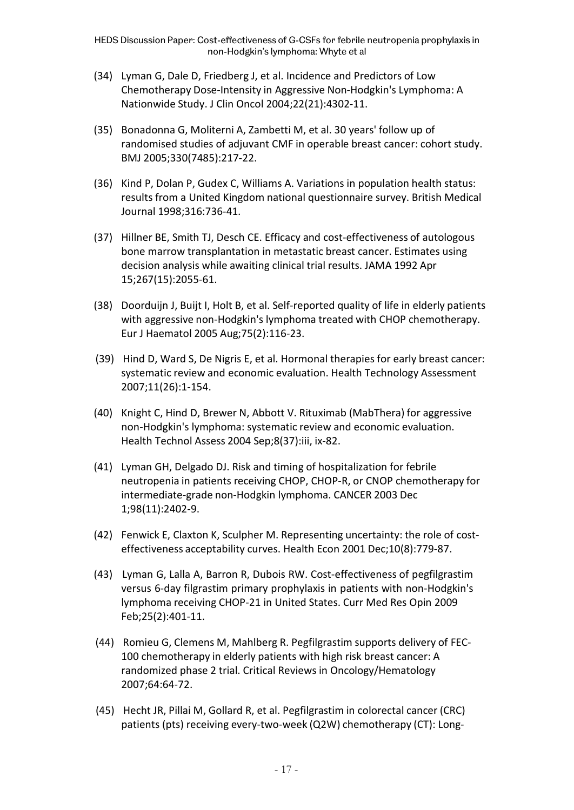- (34) Lyman G, Dale D, Friedberg J, et al. Incidence and Predictors of Low Chemotherapy Dose-Intensity in Aggressive Non-Hodgkin's Lymphoma: A Nationwide Study. J Clin Oncol 2004;22(21):4302-11.
- (35) Bonadonna G, Moliterni A, Zambetti M, et al. 30 years' follow up of randomised studies of adjuvant CMF in operable breast cancer: cohort study. BMJ 2005;330(7485):217-22.
- (36) Kind P, Dolan P, Gudex C, Williams A. Variations in population health status: results from a United Kingdom national questionnaire survey. British Medical Journal 1998;316:736-41.
- (37) Hillner BE, Smith TJ, Desch CE. Efficacy and cost-effectiveness of autologous bone marrow transplantation in metastatic breast cancer. Estimates using decision analysis while awaiting clinical trial results. JAMA 1992 Apr 15;267(15):2055-61.
- (38) Doorduijn J, Buijt I, Holt B, et al. Self-reported quality of life in elderly patients with aggressive non-Hodgkin's lymphoma treated with CHOP chemotherapy. Eur J Haematol 2005 Aug;75(2):116-23.
- (39) Hind D, Ward S, De Nigris E, et al. Hormonal therapies for early breast cancer: systematic review and economic evaluation. Health Technology Assessment 2007;11(26):1-154.
- (40) Knight C, Hind D, Brewer N, Abbott V. Rituximab (MabThera) for aggressive non-Hodgkin's lymphoma: systematic review and economic evaluation. Health Technol Assess 2004 Sep;8(37):iii, ix-82.
- (41) Lyman GH, Delgado DJ. Risk and timing of hospitalization for febrile neutropenia in patients receiving CHOP, CHOP-R, or CNOP chemotherapy for intermediate-grade non-Hodgkin lymphoma. CANCER 2003 Dec 1;98(11):2402-9.
- (42) Fenwick E, Claxton K, Sculpher M. Representing uncertainty: the role of costeffectiveness acceptability curves. Health Econ 2001 Dec;10(8):779-87.
- (43) Lyman G, Lalla A, Barron R, Dubois RW. Cost-effectiveness of pegfilgrastim versus 6-day filgrastim primary prophylaxis in patients with non-Hodgkin's lymphoma receiving CHOP-21 in United States. Curr Med Res Opin 2009 Feb;25(2):401-11.
- (44) Romieu G, Clemens M, Mahlberg R. Pegfilgrastim supports delivery of FEC-100 chemotherapy in elderly patients with high risk breast cancer: A randomized phase 2 trial. Critical Reviews in Oncology/Hematology 2007;64:64-72.
- (45) Hecht JR, Pillai M, Gollard R, et al. Pegfilgrastim in colorectal cancer (CRC) patients (pts) receiving every-two-week (Q2W) chemotherapy (CT): Long-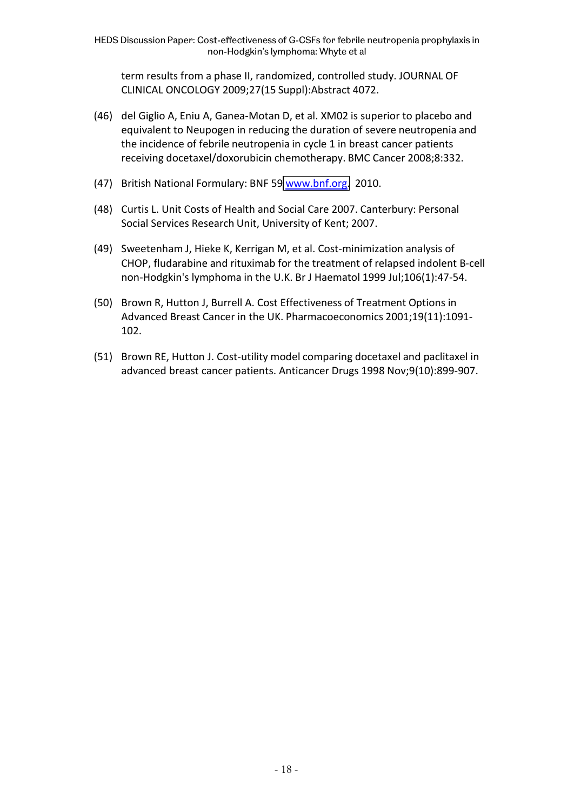term results from a phase II, randomized, controlled study. JOURNAL OF CLINICAL ONCOLOGY 2009;27(15 Suppl):Abstract 4072.

- (46) del Giglio A, Eniu A, Ganea-Motan D, et al. XM02 is superior to placebo and equivalent to Neupogen in reducing the duration of severe neutropenia and the incidence of febrile neutropenia in cycle 1 in breast cancer patients receiving docetaxel/doxorubicin chemotherapy. BMC Cancer 2008;8:332.
- (47) British National Formulary: BNF 59 [www.bnf.org.](http://www.bnf.org/) 2010.
- (48) Curtis L. Unit Costs of Health and Social Care 2007. Canterbury: Personal Social Services Research Unit, University of Kent; 2007.
- (49) Sweetenham J, Hieke K, Kerrigan M, et al. Cost-minimization analysis of CHOP, fludarabine and rituximab for the treatment of relapsed indolent B-cell non-Hodgkin's lymphoma in the U.K. Br J Haematol 1999 Jul;106(1):47-54.
- (50) Brown R, Hutton J, Burrell A. Cost Effectiveness of Treatment Options in Advanced Breast Cancer in the UK. Pharmacoeconomics 2001;19(11):1091- 102.
- (51) Brown RE, Hutton J. Cost-utility model comparing docetaxel and paclitaxel in advanced breast cancer patients. Anticancer Drugs 1998 Nov;9(10):899-907.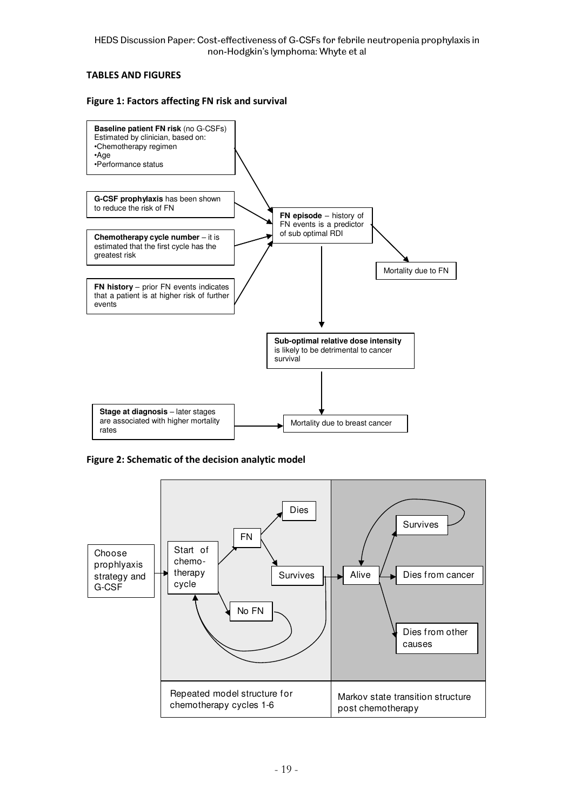#### **TABLES AND FIGURES**

#### **Figure 1: Factors affecting FN risk and survival**



**Figure 2: Schematic of the decision analytic model**

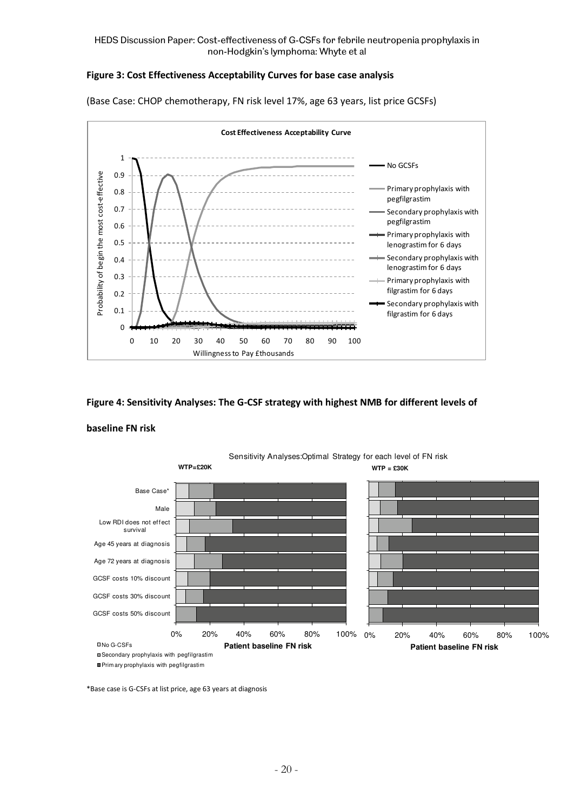#### **Figure 3: Cost Effectiveness Acceptability Curves for base case analysis**



(Base Case: CHOP chemotherapy, FN risk level 17%, age 63 years, list price GCSFs)

#### **Figure 4: Sensitivity Analyses: The G-CSF strategy with highest NMB for different levels of**

#### **baseline FN risk**



\*Base case is G-CSFs at list price, age 63 years at diagnosis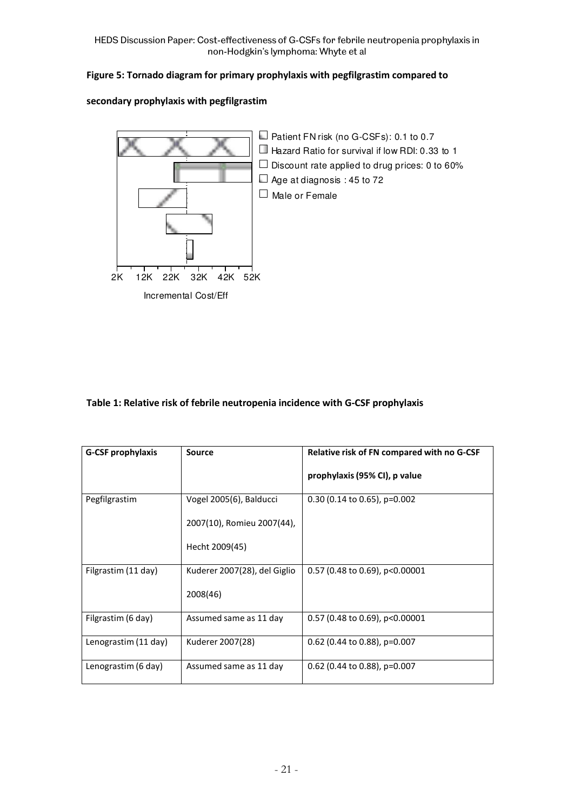HEDS Discussion Paper: Cost-effectiveness of G-CSFs for febrile neutropenia prophylaxis in non-Hodgkin's lymphoma: Whyte et al

### **Figure 5: Tornado diagram for primary prophylaxis with pegfilgrastim compared to**

#### **secondary prophylaxis with pegfilgrastim**



#### **Table 1: Relative risk of febrile neutropenia incidence with G-CSF prophylaxis**

| <b>G-CSF prophylaxis</b> | <b>Source</b>                | Relative risk of FN compared with no G-CSF |  |  |  |  |  |
|--------------------------|------------------------------|--------------------------------------------|--|--|--|--|--|
|                          |                              | prophylaxis (95% CI), p value              |  |  |  |  |  |
| Pegfilgrastim            | Vogel 2005(6), Balducci      | $0.30$ (0.14 to 0.65), p=0.002             |  |  |  |  |  |
|                          | 2007(10), Romieu 2007(44),   |                                            |  |  |  |  |  |
|                          | Hecht 2009(45)               |                                            |  |  |  |  |  |
| Filgrastim (11 day)      | Kuderer 2007(28), del Giglio | $0.57$ (0.48 to 0.69), p<0.00001           |  |  |  |  |  |
|                          | 2008(46)                     |                                            |  |  |  |  |  |
| Filgrastim (6 day)       | Assumed same as 11 day       | $0.57$ (0.48 to 0.69), p<0.00001           |  |  |  |  |  |
| Lenograstim (11 day)     | Kuderer 2007(28)             | 0.62 (0.44 to 0.88), $p=0.007$             |  |  |  |  |  |
| Lenograstim (6 day)      | Assumed same as 11 day       | $0.62$ (0.44 to 0.88), p=0.007             |  |  |  |  |  |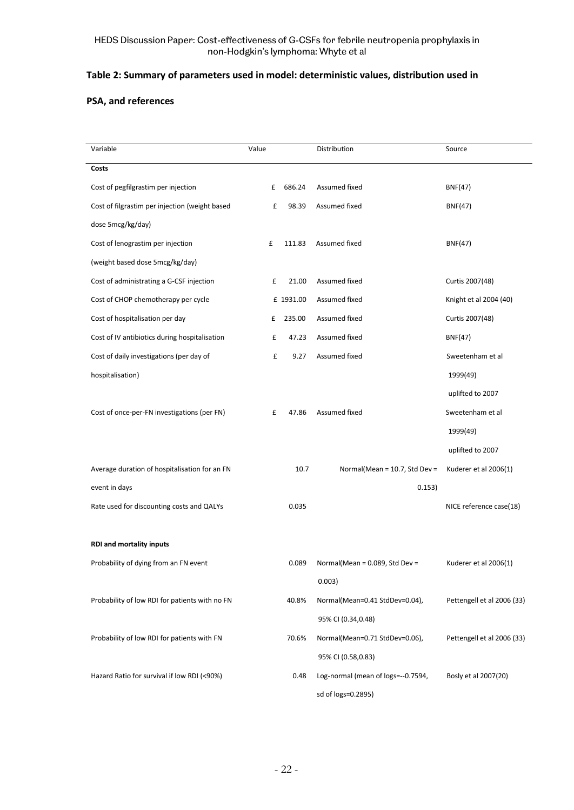#### **Table 2: Summary of parameters used in model: deterministic values, distribution used in**

#### **PSA, and references**

| Variable                                       | Value |           | Distribution                       | Source                     |  |  |
|------------------------------------------------|-------|-----------|------------------------------------|----------------------------|--|--|
| Costs                                          |       |           |                                    |                            |  |  |
| Cost of pegfilgrastim per injection            | £     | 686.24    | Assumed fixed                      | <b>BNF(47)</b>             |  |  |
| Cost of filgrastim per injection (weight based | £     | 98.39     | Assumed fixed                      | <b>BNF(47)</b>             |  |  |
| dose 5mcg/kg/day)                              |       |           |                                    |                            |  |  |
| Cost of lenograstim per injection              | £     | 111.83    | Assumed fixed                      | <b>BNF(47)</b>             |  |  |
| (weight based dose 5mcg/kg/day)                |       |           |                                    |                            |  |  |
| Cost of administrating a G-CSF injection       | £     | 21.00     | Assumed fixed                      | Curtis 2007(48)            |  |  |
| Cost of CHOP chemotherapy per cycle            |       | £ 1931.00 | Assumed fixed                      | Knight et al 2004 (40)     |  |  |
| Cost of hospitalisation per day                | £     | 235.00    | Assumed fixed                      | Curtis 2007(48)            |  |  |
| Cost of IV antibiotics during hospitalisation  | £     | 47.23     | Assumed fixed                      | <b>BNF(47)</b>             |  |  |
| Cost of daily investigations (per day of       | £     | 9.27      | Assumed fixed                      | Sweetenham et al           |  |  |
| hospitalisation)                               |       |           |                                    | 1999(49)                   |  |  |
|                                                |       |           |                                    | uplifted to 2007           |  |  |
| Cost of once-per-FN investigations (per FN)    | £     | 47.86     | Assumed fixed                      | Sweetenham et al           |  |  |
|                                                |       |           |                                    | 1999(49)                   |  |  |
|                                                |       |           |                                    | uplifted to 2007           |  |  |
| Average duration of hospitalisation for an FN  |       | 10.7      | Normal(Mean = $10.7$ , Std Dev =   | Kuderer et al 2006(1)      |  |  |
| event in days                                  |       |           | 0.153)                             |                            |  |  |
| Rate used for discounting costs and QALYs      |       | 0.035     |                                    | NICE reference case(18)    |  |  |
|                                                |       |           |                                    |                            |  |  |
| <b>RDI and mortality inputs</b>                |       |           |                                    |                            |  |  |
| Probability of dying from an FN event          |       | 0.089     | Normal(Mean = $0.089$ , Std Dev =  | Kuderer et al 2006(1)      |  |  |
|                                                |       |           | 0.003)                             |                            |  |  |
| Probability of low RDI for patients with no FN |       | 40.8%     | Normal(Mean=0.41 StdDev=0.04),     | Pettengell et al 2006 (33) |  |  |
|                                                |       |           | 95% CI (0.34,0.48)                 |                            |  |  |
| Probability of low RDI for patients with FN    |       | 70.6%     | Normal(Mean=0.71 StdDev=0.06),     | Pettengell et al 2006 (33) |  |  |
|                                                |       |           | 95% CI (0.58,0.83)                 |                            |  |  |
| Hazard Ratio for survival if low RDI (<90%)    |       | 0.48      | Log-normal (mean of logs=--0.7594, | Bosly et al 2007(20)       |  |  |
|                                                |       |           | sd of logs=0.2895)                 |                            |  |  |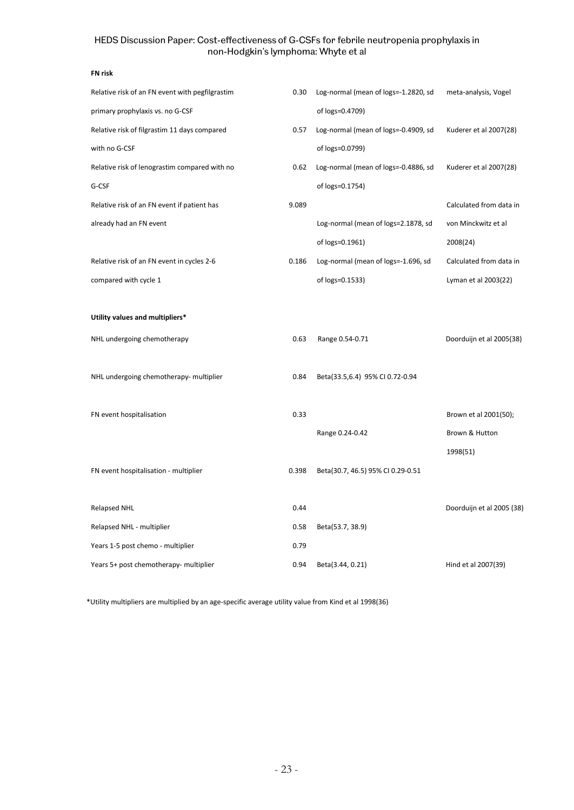#### HEDS Discussion Paper: Cost-effectiveness of G-CSFs for febrile neutropenia prophylaxis in non-Hodgkin's lymphoma: Whyte et al

#### **FN risk**

| Relative risk of an FN event with pegfilgrastim | 0.30  | Log-normal (mean of logs=-1.2820, sd | meta-analysis, Vogel      |
|-------------------------------------------------|-------|--------------------------------------|---------------------------|
| primary prophylaxis vs. no G-CSF                |       | of logs=0.4709)                      |                           |
| Relative risk of filgrastim 11 days compared    | 0.57  | Log-normal (mean of logs=-0.4909, sd | Kuderer et al 2007(28)    |
| with no G-CSF                                   |       | of logs=0.0799)                      |                           |
| Relative risk of lenograstim compared with no   | 0.62  | Log-normal (mean of logs=-0.4886, sd | Kuderer et al 2007(28)    |
| G-CSF                                           |       | of logs=0.1754)                      |                           |
| Relative risk of an FN event if patient has     | 9.089 |                                      | Calculated from data in   |
| already had an FN event                         |       | Log-normal (mean of logs=2.1878, sd  | von Minckwitz et al       |
|                                                 |       | of logs=0.1961)                      | 2008(24)                  |
| Relative risk of an FN event in cycles 2-6      | 0.186 | Log-normal (mean of logs=-1.696, sd  | Calculated from data in   |
| compared with cycle 1                           |       | of logs=0.1533)                      | Lyman et al 2003(22)      |
|                                                 |       |                                      |                           |
| Utility values and multipliers*                 |       |                                      |                           |
| NHL undergoing chemotherapy                     | 0.63  | Range 0.54-0.71                      | Doorduijn et al 2005(38)  |
|                                                 |       |                                      |                           |
| NHL undergoing chemotherapy- multiplier         | 0.84  | Beta(33.5,6.4) 95% CI 0.72-0.94      |                           |
|                                                 |       |                                      |                           |
| FN event hospitalisation                        | 0.33  |                                      | Brown et al 2001(50);     |
|                                                 |       | Range 0.24-0.42                      | Brown & Hutton            |
|                                                 |       |                                      | 1998(51)                  |
| FN event hospitalisation - multiplier           | 0.398 | Beta(30.7, 46.5) 95% CI 0.29-0.51    |                           |
|                                                 |       |                                      |                           |
| <b>Relapsed NHL</b>                             | 0.44  |                                      | Doorduijn et al 2005 (38) |
| Relapsed NHL - multiplier                       | 0.58  | Beta(53.7, 38.9)                     |                           |
| Years 1-5 post chemo - multiplier               | 0.79  |                                      |                           |
| Years 5+ post chemotherapy- multiplier          | 0.94  | Beta(3.44, 0.21)                     | Hind et al 2007(39)       |

\*Utility multipliers are multiplied by an age-specific average utility value from Kind et al 1998(36)